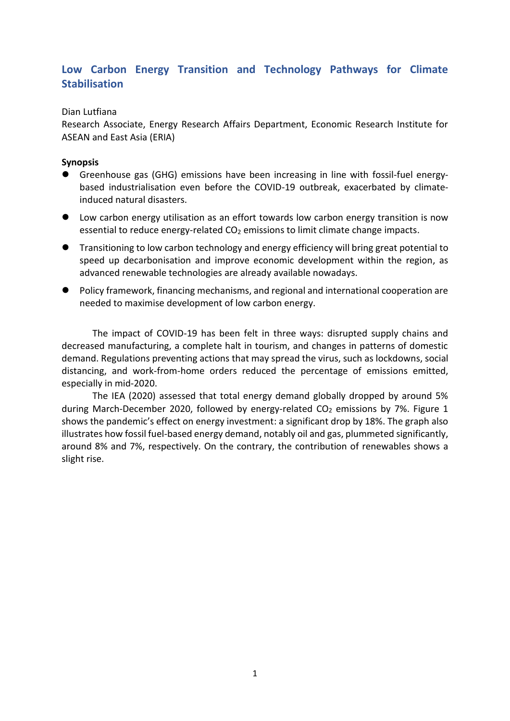# **Low Carbon Energy Transition and Technology Pathways for Climate Stabilisation**

## Dian Lutfiana

Research Associate, Energy Research Affairs Department, Economic Research Institute for ASEAN and East Asia (ERIA)

#### **Synopsis**

- ⚫ Greenhouse gas (GHG) emissions have been increasing in line with fossil-fuel energybased industrialisation even before the COVID-19 outbreak, exacerbated by climateinduced natural disasters.
- Low carbon energy utilisation as an effort towards low carbon energy transition is now essential to reduce energy-related  $CO<sub>2</sub>$  emissions to limit climate change impacts.
- Transitioning to low carbon technology and energy efficiency will bring great potential to speed up decarbonisation and improve economic development within the region, as advanced renewable technologies are already available nowadays.
- Policy framework, financing mechanisms, and regional and international cooperation are needed to maximise development of low carbon energy.

The impact of COVID-19 has been felt in three ways: disrupted supply chains and decreased manufacturing, a complete halt in tourism, and changes in patterns of domestic demand. Regulations preventing actions that may spread the virus, such as lockdowns, social distancing, and work-from-home orders reduced the percentage of emissions emitted, especially in mid-2020.

The IEA (2020) assessed that total energy demand globally dropped by around 5% during March-December 2020, followed by energy-related  $CO<sub>2</sub>$  emissions by 7%. Figure 1 shows the pandemic's effect on energy investment: a significant drop by 18%. The graph also illustrates how fossil fuel-based energy demand, notably oil and gas, plummeted significantly, around 8% and 7%, respectively. On the contrary, the contribution of renewables shows a slight rise.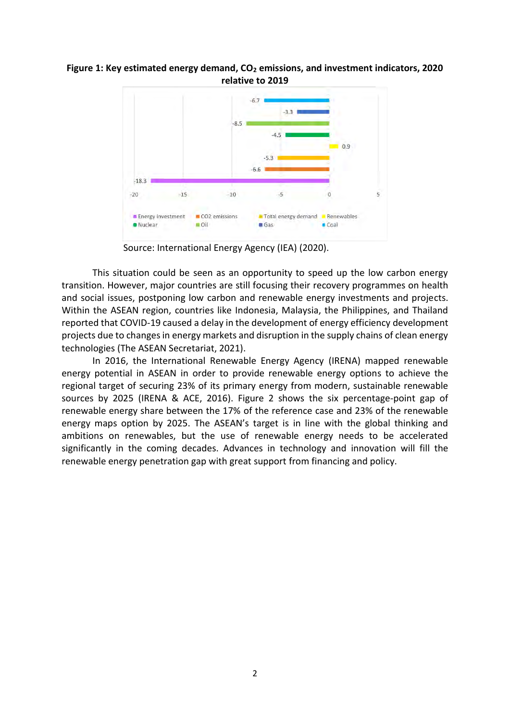## **Figure 1: Key estimated energy demand, CO<sup>2</sup> emissions, and investment indicators, 2020 relative to 2019**



Source: International Energy Agency (IEA) (2020).

This situation could be seen as an opportunity to speed up the low carbon energy transition. However, major countries are still focusing their recovery programmes on health and social issues, postponing low carbon and renewable energy investments and projects. Within the ASEAN region, countries like Indonesia, Malaysia, the Philippines, and Thailand reported that COVID-19 caused a delay in the development of energy efficiency development projects due to changes in energy markets and disruption in the supply chains of clean energy technologies (The ASEAN Secretariat, 2021).

In 2016, the International Renewable Energy Agency (IRENA) mapped renewable energy potential in ASEAN in order to provide renewable energy options to achieve the regional target of securing 23% of its primary energy from modern, sustainable renewable sources by 2025 (IRENA & ACE, 2016). Figure 2 shows the six percentage-point gap of renewable energy share between the 17% of the reference case and 23% of the renewable energy maps option by 2025. The ASEAN's target is in line with the global thinking and ambitions on renewables, but the use of renewable energy needs to be accelerated significantly in the coming decades. Advances in technology and innovation will fill the renewable energy penetration gap with great support from financing and policy.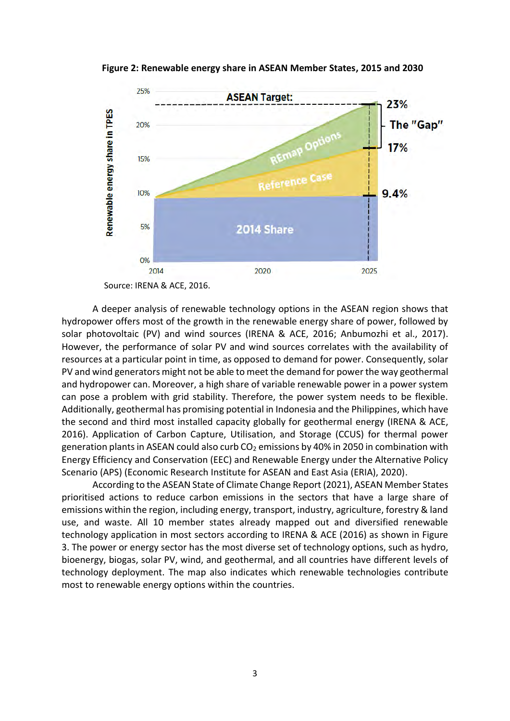

**Figure 2: Renewable energy share in ASEAN Member States, 2015 and 2030**

A deeper analysis of renewable technology options in the ASEAN region shows that hydropower offers most of the growth in the renewable energy share of power, followed by solar photovoltaic (PV) and wind sources (IRENA & ACE, 2016; Anbumozhi et al., 2017). However, the performance of solar PV and wind sources correlates with the availability of resources at a particular point in time, as opposed to demand for power. Consequently, solar PV and wind generators might not be able to meet the demand for power the way geothermal and hydropower can. Moreover, a high share of variable renewable power in a power system can pose a problem with grid stability. Therefore, the power system needs to be flexible. Additionally, geothermal has promising potential in Indonesia and the Philippines, which have the second and third most installed capacity globally for geothermal energy (IRENA & ACE, 2016). Application of Carbon Capture, Utilisation, and Storage (CCUS) for thermal power generation plants in ASEAN could also curb  $CO<sub>2</sub>$  emissions by 40% in 2050 in combination with Energy Efficiency and Conservation (EEC) and Renewable Energy under the Alternative Policy Scenario (APS) (Economic Research Institute for ASEAN and East Asia (ERIA), 2020).

According to the ASEAN State of Climate Change Report (2021), ASEAN Member States prioritised actions to reduce carbon emissions in the sectors that have a large share of emissions within the region, including energy, transport, industry, agriculture, forestry & land use, and waste. All 10 member states already mapped out and diversified renewable technology application in most sectors according to IRENA & ACE (2016) as shown in Figure 3. The power or energy sector has the most diverse set of technology options, such as hydro, bioenergy, biogas, solar PV, wind, and geothermal, and all countries have different levels of technology deployment. The map also indicates which renewable technologies contribute most to renewable energy options within the countries.

Source: IRENA & ACE, 2016.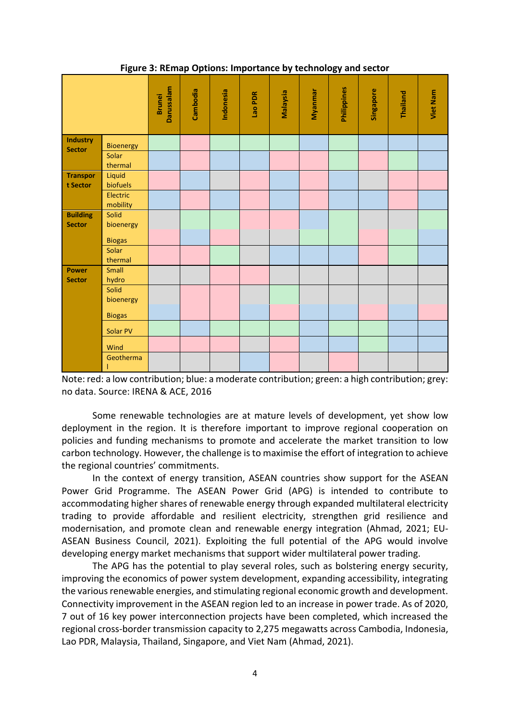| u                                |                    |                             |          |           | ,<br>- - |          |         |             |           |          |                 |
|----------------------------------|--------------------|-----------------------------|----------|-----------|----------|----------|---------|-------------|-----------|----------|-----------------|
|                                  |                    | Darussalam<br><b>Brunei</b> | Cambodia | Indonesia | Lao PDR  | Malaysia | Myanmar | Philippines | Singapore | Thailand | <b>Viet Nam</b> |
| <b>Industry</b><br><b>Sector</b> | Bioenergy<br>Solar |                             |          |           |          |          |         |             |           |          |                 |
|                                  | thermal            |                             |          |           |          |          |         |             |           |          |                 |
| <b>Transpor</b>                  | Liquid             |                             |          |           |          |          |         |             |           |          |                 |
| t Sector                         |                    |                             |          |           |          |          |         |             |           |          |                 |
|                                  | biofuels           |                             |          |           |          |          |         |             |           |          |                 |
|                                  | Electric           |                             |          |           |          |          |         |             |           |          |                 |
|                                  | mobility           |                             |          |           |          |          |         |             |           |          |                 |
| <b>Building</b><br><b>Sector</b> | Solid              |                             |          |           |          |          |         |             |           |          |                 |
|                                  | bioenergy          |                             |          |           |          |          |         |             |           |          |                 |
|                                  |                    |                             |          |           |          |          |         |             |           |          |                 |
|                                  | <b>Biogas</b>      |                             |          |           |          |          |         |             |           |          |                 |
|                                  | Solar              |                             |          |           |          |          |         |             |           |          |                 |
|                                  | thermal            |                             |          |           |          |          |         |             |           |          |                 |
| <b>Power</b>                     | Small              |                             |          |           |          |          |         |             |           |          |                 |
|                                  |                    |                             |          |           |          |          |         |             |           |          |                 |
| <b>Sector</b>                    | hydro              |                             |          |           |          |          |         |             |           |          |                 |
|                                  | Solid              |                             |          |           |          |          |         |             |           |          |                 |
|                                  | bioenergy          |                             |          |           |          |          |         |             |           |          |                 |
|                                  | <b>Biogas</b>      |                             |          |           |          |          |         |             |           |          |                 |
|                                  | Solar PV           |                             |          |           |          |          |         |             |           |          |                 |
|                                  | Wind               |                             |          |           |          |          |         |             |           |          |                 |
|                                  | Geotherma          |                             |          |           |          |          |         |             |           |          |                 |
|                                  |                    |                             |          |           |          |          |         |             |           |          |                 |

**Figure 3: REmap Options: Importance by technology and sector**

Note: red: a low contribution; blue: a moderate contribution; green: a high contribution; grey: no data. Source: IRENA & ACE, 2016

Some renewable technologies are at mature levels of development, yet show low deployment in the region. It is therefore important to improve regional cooperation on policies and funding mechanisms to promote and accelerate the market transition to low carbon technology. However, the challenge is to maximise the effort of integration to achieve the regional countries' commitments.

In the context of energy transition, ASEAN countries show support for the ASEAN Power Grid Programme. The ASEAN Power Grid (APG) is intended to contribute to accommodating higher shares of renewable energy through expanded multilateral electricity trading to provide affordable and resilient electricity, strengthen grid resilience and modernisation, and promote clean and renewable energy integration (Ahmad, 2021; EU-ASEAN Business Council, 2021). Exploiting the full potential of the APG would involve developing energy market mechanisms that support wider multilateral power trading.

The APG has the potential to play several roles, such as bolstering energy security, improving the economics of power system development, expanding accessibility, integrating the various renewable energies, and stimulating regional economic growth and development. Connectivity improvement in the ASEAN region led to an increase in power trade. As of 2020, 7 out of 16 key power interconnection projects have been completed, which increased the regional cross-border transmission capacity to 2,275 megawatts across Cambodia, Indonesia, Lao PDR, Malaysia, Thailand, Singapore, and Viet Nam (Ahmad, 2021).